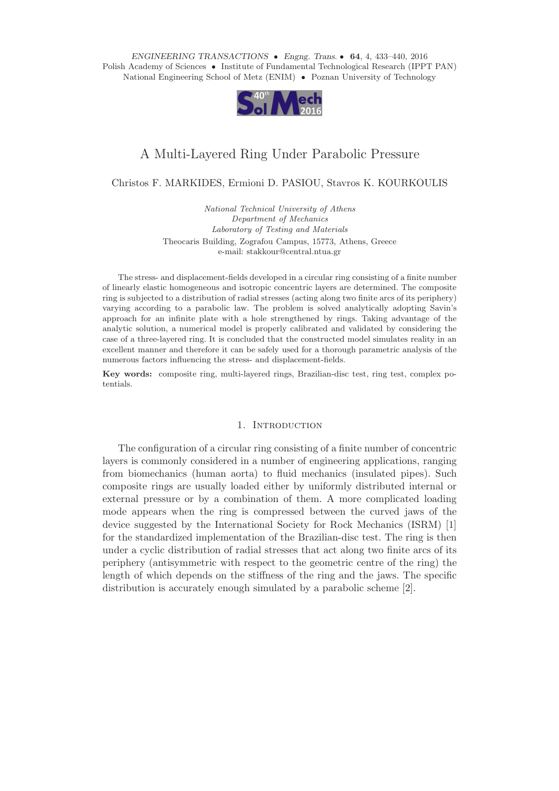*ENGINEERING TRANSACTIONS Engng. Trans.* **64**, 4, 433–440, 2016 Polish Academy of Sciences • Institute of Fundamental Technological Research (IPPT PAN) National Engineering School of Metz (ENIM) • Poznan University of Technology



# A Multi-Layered Ring Under Parabolic Pressure

Christos F. MARKIDES, Ermioni D. PASIOU, Stavros K. KOURKOULIS

*National Technical University of Athens Department of Mechanics Laboratory of Testing and Materials* Theocaris Building, Zografou Campus, 15773, Athens, Greece e-mail: stakkour@central.ntua.gr

The stress- and displacement-fields developed in a circular ring consisting of a finite number of linearly elastic homogeneous and isotropic concentric layers are determined. The composite ring is subjected to a distribution of radial stresses (acting along two finite arcs of its periphery) varying according to a parabolic law. The problem is solved analytically adopting Savin's approach for an infinite plate with a hole strengthened by rings. Taking advantage of the analytic solution, a numerical model is properly calibrated and validated by considering the case of a three-layered ring. It is concluded that the constructed model simulates reality in an excellent manner and therefore it can be safely used for a thorough parametric analysis of the numerous factors influencing the stress- and displacement-fields.

**Key words:** composite ring, multi-layered rings, Brazilian-disc test, ring test, complex potentials.

## 1. INTRODUCTION

The configuration of a circular ring consisting of a finite number of concentric layers is commonly considered in a number of engineering applications, ranging from biomechanics (human aorta) to fluid mechanics (insulated pipes). Such composite rings are usually loaded either by uniformly distributed internal or external pressure or by a combination of them. A more complicated loading mode appears when the ring is compressed between the curved jaws of the device suggested by the International Society for Rock Mechanics (ISRM) [1] for the standardized implementation of the Brazilian-disc test. The ring is then under a cyclic distribution of radial stresses that act along two finite arcs of its periphery (antisymmetric with respect to the geometric centre of the ring) the length of which depends on the stiffness of the ring and the jaws. The specific distribution is accurately enough simulated by a parabolic scheme [2].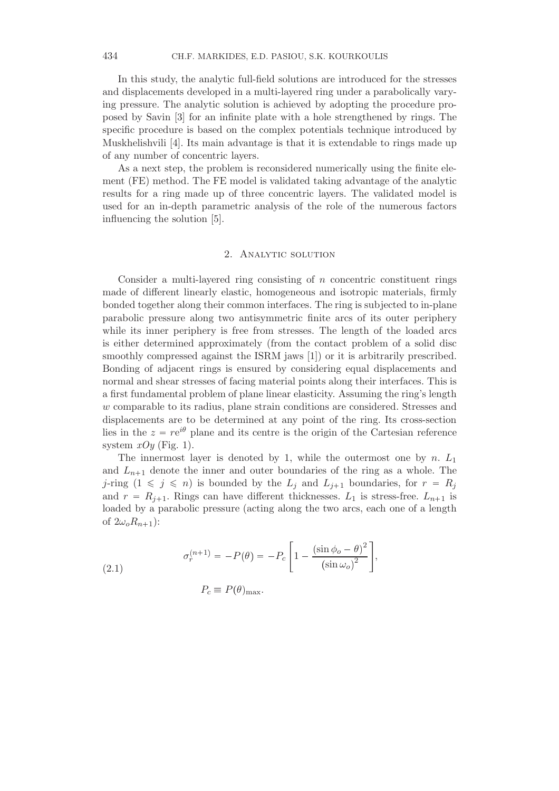In this study, the analytic full-field solutions are introduced for the stresses and displacements developed in a multi-layered ring under a parabolically varying pressure. The analytic solution is achieved by adopting the procedure proposed by Savin [3] for an infinite plate with a hole strengthened by rings. The specific procedure is based on the complex potentials technique introduced by Muskhelishvili [4]. Its main advantage is that it is extendable to rings made up of any number of concentric layers.

As a next step, the problem is reconsidered numerically using the finite element (FE) method. The FE model is validated taking advantage of the analytic results for a ring made up of three concentric layers. The validated model is used for an in-depth parametric analysis of the role of the numerous factors influencing the solution [5].

### 2. Analytic solution

Consider a multi-layered ring consisting of  $n$  concentric constituent rings made of different linearly elastic, homogeneous and isotropic materials, firmly bonded together along their common interfaces. The ring is subjected to in-plane parabolic pressure along two antisymmetric finite arcs of its outer periphery while its inner periphery is free from stresses. The length of the loaded arcs is either determined approximately (from the contact problem of a solid disc smoothly compressed against the ISRM jaws [1]) or it is arbitrarily prescribed. Bonding of adjacent rings is ensured by considering equal displacements and normal and shear stresses of facing material points along their interfaces. This is a first fundamental problem of plane linear elasticity. Assuming the ring's length w comparable to its radius, plane strain conditions are considered. Stresses and displacements are to be determined at any point of the ring. Its cross-section lies in the  $z = re^{i\theta}$  plane and its centre is the origin of the Cartesian reference system  $xOy$  (Fig. 1).

The innermost layer is denoted by 1, while the outermost one by n.  $L_1$ and  $L_{n+1}$  denote the inner and outer boundaries of the ring as a whole. The j-ring  $(1 \leq j \leq n)$  is bounded by the  $L_j$  and  $L_{j+1}$  boundaries, for  $r = R_j$ and  $r = R_{i+1}$ . Rings can have different thicknesses.  $L_1$  is stress-free.  $L_{n+1}$  is loaded by a parabolic pressure (acting along the two arcs, each one of a length of  $2\omega_o R_{n+1}$ :

(2.1) 
$$
\sigma_r^{(n+1)} = -P(\theta) = -P_c \left[ 1 - \frac{(\sin \phi_o - \theta)^2}{(\sin \omega_o)^2} \right],
$$

 $P_c \equiv P(\theta)_{\text{max}}.$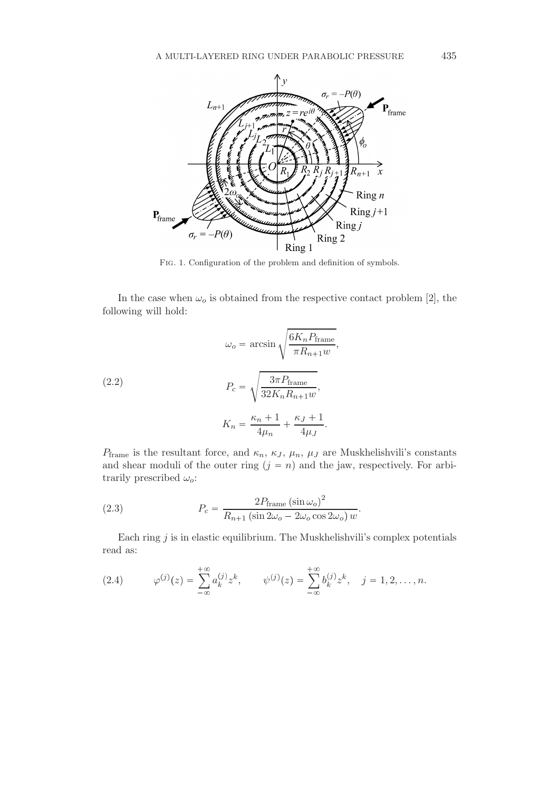

Fig. 1. Configuration of the problem and definition of symbols.

In the case when  $\omega_o$  is obtained from the respective contact problem [2], the following will hold:

(2.2) 
$$
\omega_o = \arcsin\sqrt{\frac{6K_nP_{\text{frame}}}{\pi R_{n+1}w}},
$$

$$
P_c = \sqrt{\frac{3\pi P_{\text{frame}}}{32K_nR_{n+1}w}},
$$

$$
K_n = \frac{\kappa_n + 1}{4\mu_n} + \frac{\kappa_J + 1}{4\mu_J}.
$$

 $P_{\text{frame}}$  is the resultant force, and  $\kappa_n$ ,  $\kappa_j$ ,  $\mu_n$ ,  $\mu_j$  are Muskhelishvili's constants and shear moduli of the outer ring  $(j = n)$  and the jaw, respectively. For arbitrarily prescribed  $\omega_o$ :

(2.3) 
$$
P_c = \frac{2P_{\text{frame}}(\sin \omega_o)^2}{R_{n+1}(\sin 2\omega_o - 2\omega_o \cos 2\omega_o) w}.
$$

Each ring  $j$  is in elastic equilibrium. The Muskhelishvili's complex potentials read as:

(2.4) 
$$
\varphi^{(j)}(z) = \sum_{-\infty}^{+\infty} a_k^{(j)} z^k, \qquad \psi^{(j)}(z) = \sum_{-\infty}^{+\infty} b_k^{(j)} z^k, \quad j = 1, 2, ..., n.
$$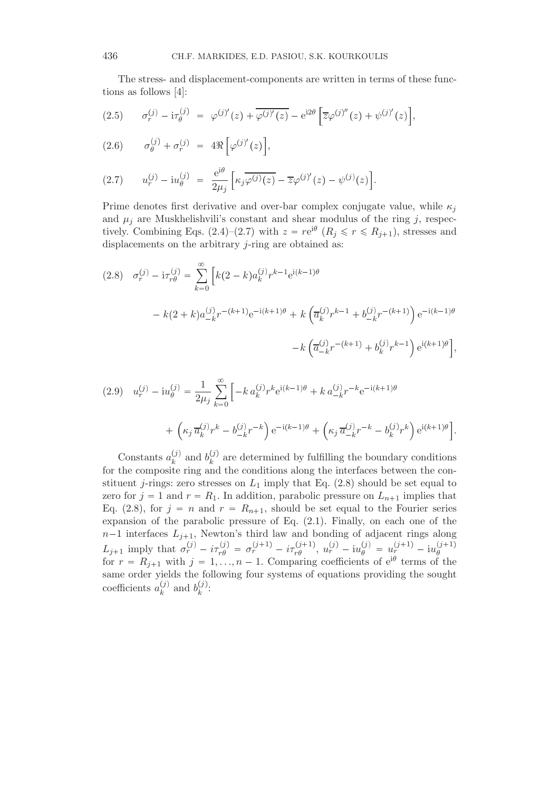The stress- and displacement-components are written in terms of these functions as follows [4]:

$$
(2.5) \qquad \sigma_r^{(j)} - i\tau_\theta^{(j)} = \varphi^{(j)'}(z) + \overline{\varphi^{(j)'}(z)} - e^{i2\theta} \left[ \overline{z} \varphi^{(j)''}(z) + \psi^{(j)'}(z) \right],
$$

$$
(2.6) \qquad \sigma_{\theta}^{(j)} + \sigma_{r}^{(j)} = 4\Re\left[\varphi^{(j)'}(z)\right],
$$

(2.7) 
$$
u_r^{(j)} - i u_\theta^{(j)} = \frac{e^{i\theta}}{2\mu_j} \left[ \kappa_j \overline{\varphi^{(j)}(z)} - \overline{z} \varphi^{(j)'}(z) - \psi^{(j)}(z) \right].
$$

Prime denotes first derivative and over-bar complex conjugate value, while  $\kappa_i$ and  $\mu_i$  are Muskhelishvili's constant and shear modulus of the ring j, respectively. Combining Eqs. (2.4)–(2.7) with  $z = re^{i\theta}$   $(R_j \leq r \leq R_{j+1})$ , stresses and displacements on the arbitrary *j*-ring are obtained as:

$$
(2.8) \quad \sigma_r^{(j)} - i\tau_{r\theta}^{(j)} = \sum_{k=0}^{\infty} \left[ k(2-k)a_k^{(j)}r^{k-1}e^{i(k-1)\theta} \right.
$$

$$
- k(2+k)a_{-k}^{(j)}r^{-(k+1)}e^{-i(k+1)\theta} + k\left(\overline{a}_k^{(j)}r^{k-1} + b_{-k}^{(j)}r^{-(k+1)}\right)e^{-i(k-1)\theta}
$$

$$
- k\left(\overline{a}_{-k}^{(j)}r^{-(k+1)} + b_k^{(j)}r^{k-1}\right)e^{i(k+1)\theta},
$$

$$
(2.9) \quad u_r^{(j)} - i u_\theta^{(j)} = \frac{1}{2\mu_j} \sum_{k=0}^{\infty} \left[ -k \, a_k^{(j)} r^k e^{i(k-1)\theta} + k \, a_{-k}^{(j)} r^{-k} e^{-i(k+1)\theta} + \left( \kappa_j \, \overline{a}_k^{(j)} r^k - b_{-k}^{(j)} r^{-k} \right) e^{-i(k-1)\theta} + \left( \kappa_j \, \overline{a}_{-k}^{(j)} r^{-k} - b_k^{(j)} r^k \right) e^{i(k+1)\theta} \right].
$$

Constants  $a_k^{(j)}$  $\binom{j}{k}$  and  $b_k^{(j)}$  $\kappa^{(j)}$  are determined by fulfilling the boundary conditions for the composite ring and the conditions along the interfaces between the constituent *j*-rings: zero stresses on  $L_1$  imply that Eq. (2.8) should be set equal to zero for  $j = 1$  and  $r = R_1$ . In addition, parabolic pressure on  $L_{n+1}$  implies that Eq. (2.8), for  $j = n$  and  $r = R_{n+1}$ , should be set equal to the Fourier series expansion of the parabolic pressure of Eq. (2.1). Finally, on each one of the  $n-1$  interfaces  $L_{j+1}$ , Newton's third law and bonding of adjacent rings along  $L_{j+1}$  imply that  $\sigma_r^{(j)} - i\tau_{r\theta}^{(j)} = \sigma_r^{(j+1)} - i\tau_{r\theta}^{(j+1)}, u_r^{(j)} - i u_{\theta}^{(j)} = u_r^{(j+1)} - i u_{\theta}^{(j+1)}$ θ for r Rj<sup>1</sup> with j 1, . . ., n 1. Comparing coefficients of ei<sup>θ</sup> terms of the same order yields the following four systems of equations providing the sought coefficients  $a_k^{(j)}$  $\binom{j}{k}$  and  $b_k^{(j)}$  $\frac{U}{k}$ :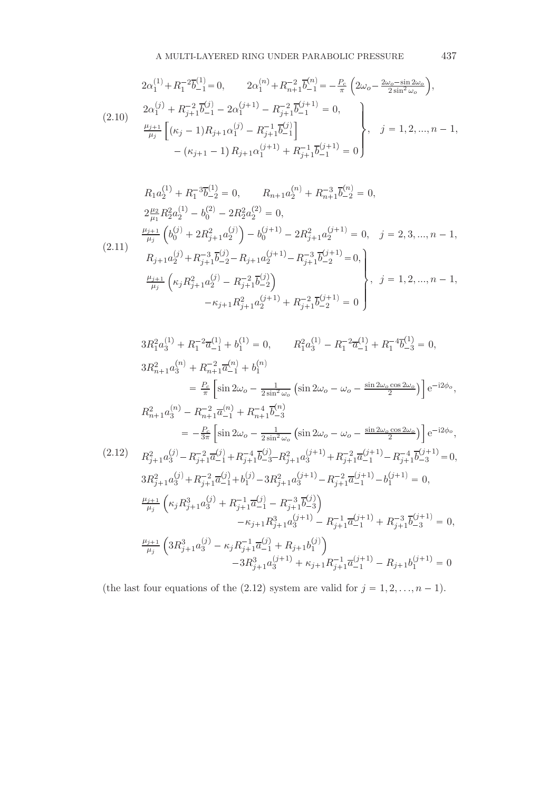$$
2\alpha_1^{(1)} + R_1^{-2}\overline{b}_{-1}^{(1)} = 0, \qquad 2\alpha_1^{(n)} + R_{n+1}^{-2}\overline{b}_{-1}^{(n)} = -\frac{P_c}{\pi} \left( 2\omega_o - \frac{2\omega_o - \sin 2\omega_o}{2\sin^2 \omega_o} \right),
$$
  
\n
$$
2\alpha_1^{(j)} + R_{j+1}^{-2}\overline{b}_{-1}^{(j)} - 2\alpha_1^{(j+1)} - R_{j+1}^{-2}\overline{b}_{-1}^{(j+1)} = 0,
$$
  
\n
$$
\frac{\mu_{j+1}}{\mu_j} \left[ (\kappa_j - 1)R_{j+1}\alpha_1^{(j)} - R_{j+1}^{-1}\overline{b}_{-1}^{(j)} \right] + (\kappa_{j+1} - 1)R_{j+1}\alpha_1^{(j+1)} + R_{j+1}^{-1}\overline{b}_{-1}^{(j+1)} = 0
$$

$$
R_{1}a_{2}^{(1)} + R_{1}^{-3}\overline{b}_{-2}^{(1)} = 0, \t R_{n+1}a_{2}^{(n)} + R_{n+1}^{-3}\overline{b}_{-2}^{(n)} = 0,
$$
  
\n
$$
2\frac{\mu_{2}}{\mu_{1}}R_{2}^{2}a_{2}^{(1)} - b_{0}^{(2)} - 2R_{2}^{2}a_{2}^{(2)} = 0,
$$
  
\n
$$
\frac{\mu_{j+1}}{\mu_{j}}\left(b_{0}^{(j)} + 2R_{j+1}^{2}a_{2}^{(j)}\right) - b_{0}^{(j+1)} - 2R_{j+1}^{2}a_{2}^{(j+1)} = 0, \t j = 2, 3, ..., n - 1,
$$
  
\n(2.11)  
\n
$$
R_{j+1}a_{2}^{(j)} + R_{j+1}^{-3}\overline{b}_{-2}^{(j)} - R_{j+1}a_{2}^{(j+1)} - R_{j+1}^{-3}\overline{b}_{-2}^{(j+1)} = 0,
$$
  
\n
$$
\frac{\mu_{j+1}}{\mu_{j}}\left(\kappa_{j}R_{j+1}^{2}a_{2}^{(j)} - R_{j+1}^{-2}\overline{b}_{-2}^{(j)}\right), \t j = 1, 2, ..., n - 1,
$$
  
\n
$$
-\kappa_{j+1}R_{j+1}^{2}a_{2}^{(j+1)} + R_{j+1}^{-2}\overline{b}_{-2}^{(j+1)} = 0
$$

$$
3R_1^2 a_3^{(1)} + R_1^{-2} \overline{a}_{-1}^{(1)} + b_1^{(1)} = 0, \t R_1^2 a_3^{(1)} - R_1^{-2} \overline{a}_{-1}^{(1)} + R_1^{-4} \overline{b}_{-3}^{(1)} = 0,
$$
  
\n
$$
3R_{n+1}^2 a_3^{(n)} + R_{n+1}^{-2} \overline{a}_{-1}^{(n)} + b_1^{(n)}
$$
  
\n
$$
= \frac{P_c}{\pi} \left[ \sin 2\omega_o - \frac{1}{2 \sin^2 \omega_o} \left( \sin 2\omega_o - \omega_o - \frac{\sin 2\omega_o \cos 2\omega_o}{2} \right) \right] e^{-i2\phi_o},
$$
  
\n
$$
R_{n+1}^2 a_3^{(n)} - R_{n+1}^{-2} \overline{a}_{-1}^{(n)} + R_{n+1}^{-4} \overline{b}_{-3}^{(n)}
$$
  
\n
$$
= -\frac{P_c}{3\pi} \left[ \sin 2\omega_o - \frac{1}{2 \sin^2 \omega_o} \left( \sin 2\omega_o - \omega_o - \frac{\sin 2\omega_o \cos 2\omega_o}{2} \right) \right] e^{-i2\phi_o},
$$
  
\n(2.12) 
$$
R_{j+1}^2 a_3^{(j)} - R_{j+1}^{-2} \overline{a}_{-1}^{(j)} + R_{j+1}^{-4} \overline{b}_{-3}^{(j)} - R_{j+1}^2 a_3^{(j+1)} + R_{j+1}^{-2} \overline{a}_{-1}^{(j+1)} - R_{j+1}^{-4} \overline{b}_{-3}^{(j+1)} = 0,
$$
  
\n
$$
3R_{j+1}^2 a_3^{(j)} + R_{j+1}^{-2} \overline{a}_{-1}^{(j)} + b_1^{(j)} - 3R_{j+1}^2 a_3^{(j+1)} - R_{j+1}^{-2} \overline{a}_{-1}^{(j+1)} - b_1^{(j+1)} = 0,
$$
  
\n
$$
\frac{\mu_{j+1}}{\mu_j} \left( \kappa_j R_{j+1}^3 a_3^{(j)} + R_{j+1}^{-1} \overline{a}_{-1}^{(j
$$

(the last four equations of the (2.12) system are valid for  $j = 1, 2, ..., n - 1$ ).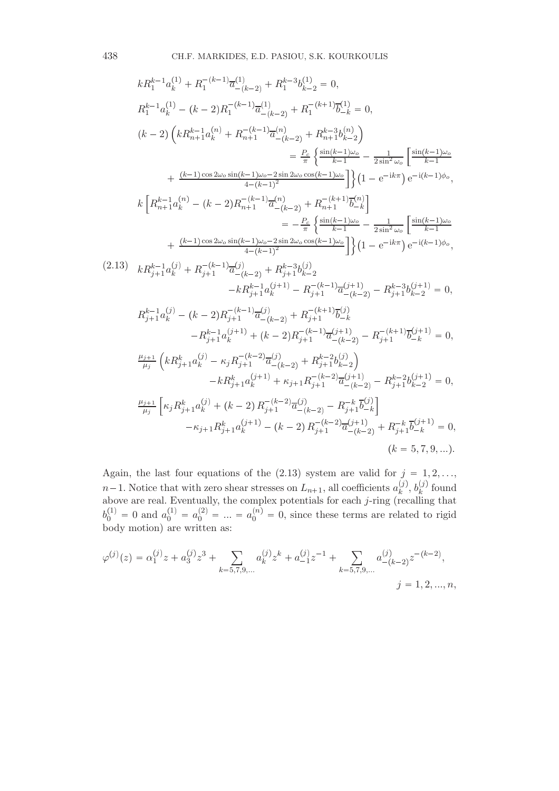$$
kR_{1}^{k-1}a_{k}^{(1)} + R_{1}^{-(k-1)}\overline{a}_{-(k-2)}^{(1)} + R_{1}^{k-3}b_{k-2}^{(1)} = 0,
$$
\n
$$
R_{1}^{k-1}a_{k}^{(1)} - (k-2)R_{1}^{-(k-1)}\overline{a}_{-(k-2)}^{(1)} + R_{1}^{-(k+1)}\overline{b}_{-k}^{(1)} = 0,
$$
\n
$$
(k-2)\left(kR_{n+1}^{k-1}a_{k}^{(n)} + R_{n+1}^{-(k-1)}\overline{a}_{-(k-2)}^{(n)} + R_{n+1}^{k-3}b_{k-2}^{(n)}\right) = \frac{P_{c}}{\pi}\left\{\frac{\sin(k-1)\omega_{c}}{k-1} - \frac{1}{2\sin^{2}\omega_{c}}\left[\frac{\sin(k-1)\omega_{c}}{k-1} + \frac{(k-1)\cos 2\omega_{c}\sin(k-1)\omega_{c}-2\sin 2\omega_{c}\cos(k-1)\omega_{c}}{4-(k-1)^{2}}\right]\right\}\left(1 - e^{-ik\pi}\right)e^{-i(k-1)\phi_{o}},
$$
\n
$$
k\left[R_{n+1}^{k-1}a_{k}^{(n)} - (k-2)R_{n+1}^{-(k-1)}\overline{a}_{-(k-2)}^{(n)} + R_{n+1}^{-(k+1)}\overline{b}_{-k}^{(n)}\right] = -\frac{P_{c}}{\pi}\left\{\frac{\sin(k-1)\omega_{c}}{k-1} - \frac{1}{2\sin^{2}\omega_{c}}\left[\frac{\sin(k-1)\omega_{c}}{k-1} + \frac{(k-1)\cos 2\omega_{c}\sin(k-1)\omega_{c}-2\sin 2\omega_{c}\cos(k-1)\omega_{c}}{4-(k-1)^{2}}\right]\right\}\left(1 - e^{-ik\pi}\right)e^{-i(k-1)\phi_{o}},
$$
\n
$$
+ \frac{(k-1)\cos 2\omega_{c}\sin(k-1)\omega_{c}-2\sin 2\omega_{c}\cos(k-1)\omega_{c}}{4-(k-1)^{2}}\right\}\left(1 - e^{-ik\pi}\right)e^{-i(k-1)\phi_{o}},
$$
\n
$$
+ \frac{(k-1)\cos 2\omega_{c}\sin(k-1)\omega_{c}-2\sin 2
$$

Again, the last four equations of the  $(2.13)$  system are valid for  $j = 1, 2, \ldots$ ,  $n-1$ . Notice that with zero shear stresses on  $L_{n+1}$ , all coefficients  $a_k^{(j)}$  $\binom{(j)}{k},\,b_k^{(j)}$  $\binom{J}{k}$  found above are real. Eventually, the complex potentials for each j-ring (recalling that  $b_0^{(1)} = 0$  and  $a_0^{(1)} = a_0^{(2)} = ... = a_0^{(n)} = 0$ , since these terms are related to rigid body motion) are written as:

$$
\varphi^{(j)}(z) = \alpha_1^{(j)} z + a_3^{(j)} z^3 + \sum_{k=5,7,9,\dots} a_k^{(j)} z^k + a_{-1}^{(j)} z^{-1} + \sum_{k=5,7,9,\dots} a_{-(k-2)}^{(j)} z^{-(k-2)},
$$
  

$$
j = 1,2,...,n,
$$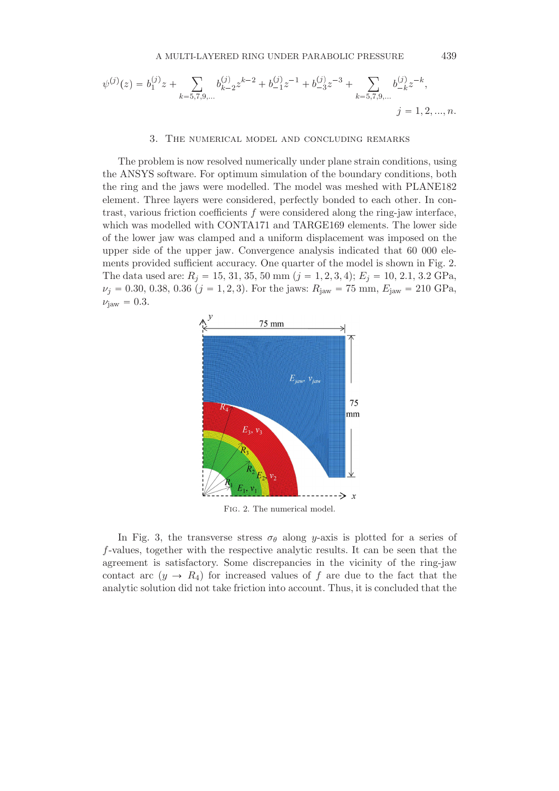$$
\psi^{(j)}(z) = b_1^{(j)}z + \sum_{k=5,7,9,\dots} b_{k-2}^{(j)} z^{k-2} + b_{-1}^{(j)} z^{-1} + b_{-3}^{(j)} z^{-3} + \sum_{k=5,7,9,\dots} b_{-k}^{(j)} z^{-k},
$$
  

$$
j = 1,2,...,n.
$$

#### 3. The numerical model and concluding remarks

The problem is now resolved numerically under plane strain conditions, using the ANSYS software. For optimum simulation of the boundary conditions, both the ring and the jaws were modelled. The model was meshed with PLANE182 element. Three layers were considered, perfectly bonded to each other. In contrast, various friction coefficients  $f$  were considered along the ring-jaw interface, which was modelled with CONTA171 and TARGE169 elements. The lower side of the lower jaw was clamped and a uniform displacement was imposed on the upper side of the upper jaw. Convergence analysis indicated that 60 000 elements provided sufficient accuracy. One quarter of the model is shown in Fig. 2. The data used are:  $R_j = 15, 31, 35, 50 \text{ mm } (j = 1, 2, 3, 4); E_j = 10, 2.1, 3.2 \text{ GPa},$  $\nu_j = 0.30, 0.38, 0.36$   $(j = 1, 2, 3)$ . For the jaws:  $R_{\text{jaw}} = 75 \text{ mm}, E_{\text{jaw}} = 210 \text{ GPa},$  $\nu_{\text{jaw}} = 0.3$ .



In Fig. 3, the transverse stress  $\sigma_{\theta}$  along y-axis is plotted for a series of f-values, together with the respective analytic results. It can be seen that the agreement is satisfactory. Some discrepancies in the vicinity of the ring-jaw contact arc  $(y \to R_4)$  for increased values of f are due to the fact that the analytic solution did not take friction into account. Thus, it is concluded that the